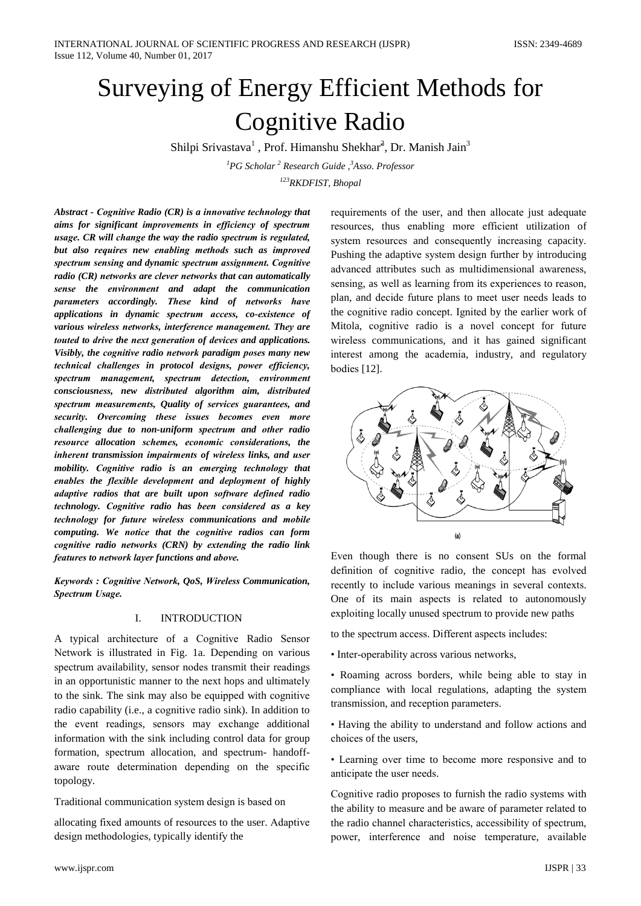# Surveying of Energy Efficient Methods for **Cognitive Radio**

Shilpi Srivastava<sup>1</sup>, Prof. Himanshu Shekhar<sup>2</sup>, Dr. Manish Jain<sup>3</sup>

 ${}^{1}PG$  Scholar<sup>2</sup> Research Guide,  ${}^{3}Asso$ . Professor <sup>123</sup>RKDFIST. Bhopal

Abstract - Cognitive Radio (CR) is a innovative technology that aims for significant improvements in efficiency of spectrum usage. CR will change the way the radio spectrum is regulated, but also requires new enabling methods such as improved spectrum sensing and dynamic spectrum assignment. Cognitive radio (CR) networks are clever networks that can automatically sense the environment and adapt the communication parameters accordingly. These kind of networks have applications in dynamic spectrum access, co-existence of various wireless networks, interference management. They are touted to drive the next generation of devices and applications. Visibly, the cognitive radio network paradigm poses many new technical challenges in protocol designs, power efficiency, spectrum management, spectrum detection, environment consciousness, new distributed algorithm aim, distributed spectrum measurements, Quality of services guarantees, and security. Overcoming these issues becomes even more challenging due to non-uniform spectrum and other radio resource allocation schemes, economic considerations, the inherent transmission impairments of wireless links, and user mobility. Cognitive radio is an emerging technology that enables the flexible development and deployment of highly adaptive radios that are built upon software defined radio technology. Cognitive radio has been considered as a key technology for future wireless communications and mobile computing. We notice that the cognitive radios can form cognitive radio networks (CRN) by extending the radio link features to network layer functions and above.

Keywords : Cognitive Network, QoS, Wireless Communication, Spectrum Usage.

### **INTRODUCTION** Ι.

A typical architecture of a Cognitive Radio Sensor Network is illustrated in Fig. 1a. Depending on various spectrum availability, sensor nodes transmit their readings in an opportunistic manner to the next hops and ultimately to the sink. The sink may also be equipped with cognitive radio capability (i.e., a cognitive radio sink). In addition to the event readings, sensors may exchange additional information with the sink including control data for group formation, spectrum allocation, and spectrum- handoffaware route determination depending on the specific topology.

Traditional communication system design is based on

allocating fixed amounts of resources to the user. Adaptive design methodologies, typically identify the

requirements of the user, and then allocate just adequate resources, thus enabling more efficient utilization of system resources and consequently increasing capacity. Pushing the adaptive system design further by introducing advanced attributes such as multidimensional awareness. sensing, as well as learning from its experiences to reason, plan, and decide future plans to meet user needs leads to the cognitive radio concept. Ignited by the earlier work of Mitola, cognitive radio is a novel concept for future wireless communications, and it has gained significant interest among the academia, industry, and regulatory bodies  $[12]$ .



Even though there is no consent SUs on the formal definition of cognitive radio, the concept has evolved recently to include various meanings in several contexts. One of its main aspects is related to autonomously exploiting locally unused spectrum to provide new paths

to the spectrum access. Different aspects includes:

• Inter-operability across various networks,

• Roaming across borders, while being able to stay in compliance with local regulations, adapting the system transmission, and reception parameters.

• Having the ability to understand and follow actions and choices of the users.

• Learning over time to become more responsive and to anticipate the user needs.

Cognitive radio proposes to furnish the radio systems with the ability to measure and be aware of parameter related to the radio channel characteristics, accessibility of spectrum, power, interference and noise temperature, available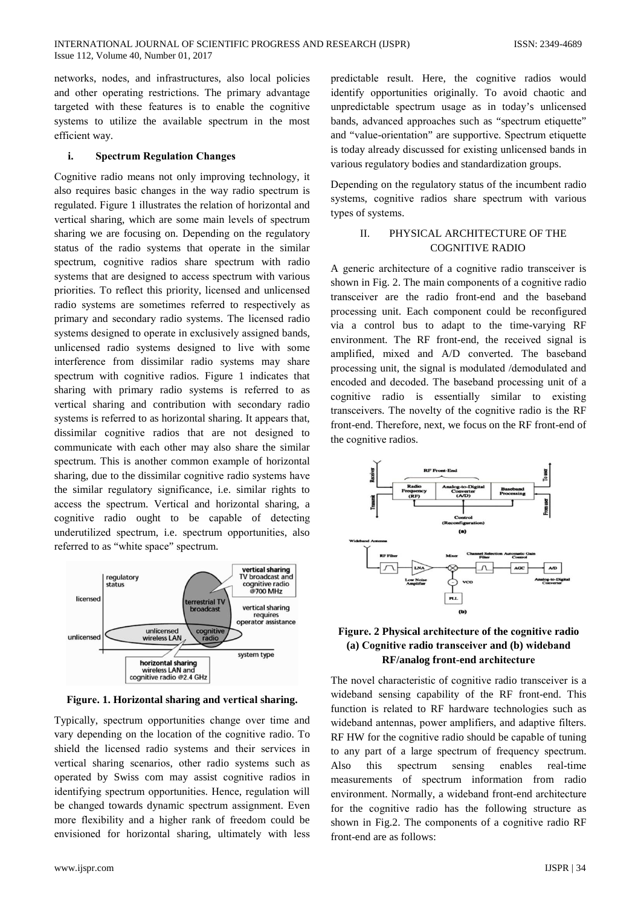networks, nodes, and infrastructures, also local policies and other operating restrictions. The primary advantage targeted with these features is to enable the cognitive systems to utilize the available spectrum in the most efficient way.

## i. **Spectrum Regulation Changes**

Cognitive radio means not only improving technology, it also requires basic changes in the way radio spectrum is regulated. Figure 1 illustrates the relation of horizontal and vertical sharing, which are some main levels of spectrum sharing we are focusing on. Depending on the regulatory status of the radio systems that operate in the similar spectrum, cognitive radios share spectrum with radio systems that are designed to access spectrum with various priorities. To reflect this priority, licensed and unlicensed radio systems are sometimes referred to respectively as primary and secondary radio systems. The licensed radio systems designed to operate in exclusively assigned bands, unlicensed radio systems designed to live with some interference from dissimilar radio systems may share spectrum with cognitive radios. Figure 1 indicates that sharing with primary radio systems is referred to as vertical sharing and contribution with secondary radio systems is referred to as horizontal sharing. It appears that, dissimilar cognitive radios that are not designed to communicate with each other may also share the similar spectrum. This is another common example of horizontal sharing, due to the dissimilar cognitive radio systems have the similar regulatory significance, i.e. similar rights to access the spectrum. Vertical and horizontal sharing, a cognitive radio ought to be capable of detecting underutilized spectrum, i.e. spectrum opportunities, also referred to as "white space" spectrum.



Figure. 1. Horizontal sharing and vertical sharing.

Typically, spectrum opportunities change over time and vary depending on the location of the cognitive radio. To shield the licensed radio systems and their services in vertical sharing scenarios, other radio systems such as operated by Swiss com may assist cognitive radios in identifying spectrum opportunities. Hence, regulation will be changed towards dynamic spectrum assignment. Even more flexibility and a higher rank of freedom could be envisioned for horizontal sharing, ultimately with less

predictable result. Here, the cognitive radios would identify opportunities originally. To avoid chaotic and unpredictable spectrum usage as in today's unlicensed bands, advanced approaches such as "spectrum etiquette" and "value-orientation" are supportive. Spectrum etiquette is today already discussed for existing unlicensed bands in various regulatory bodies and standardization groups.

Depending on the regulatory status of the incumbent radio systems, cognitive radios share spectrum with various types of systems.

## $\Pi$ PHYSICAL ARCHITECTURE OF THE **COGNITIVE RADIO**

A generic architecture of a cognitive radio transceiver is shown in Fig. 2. The main components of a cognitive radio transceiver are the radio front-end and the baseband processing unit. Each component could be reconfigured via a control bus to adapt to the time-varying RF environment. The RF front-end, the received signal is amplified, mixed and A/D converted. The baseband processing unit, the signal is modulated /demodulated and encoded and decoded. The baseband processing unit of a cognitive radio is essentially similar to existing transceivers. The novelty of the cognitive radio is the RF front-end. Therefore, next, we focus on the RF front-end of the cognitive radios.



## Figure. 2 Physical architecture of the cognitive radio (a) Cognitive radio transceiver and (b) wideband RF/analog front-end architecture

The novel characteristic of cognitive radio transceiver is a wideband sensing capability of the RF front-end. This function is related to RF hardware technologies such as wideband antennas, power amplifiers, and adaptive filters. RF HW for the cognitive radio should be capable of tuning to any part of a large spectrum of frequency spectrum. spectrum Also this sensing enables real-time measurements of spectrum information from radio environment. Normally, a wideband front-end architecture for the cognitive radio has the following structure as shown in Fig.2. The components of a cognitive radio RF front-end are as follows: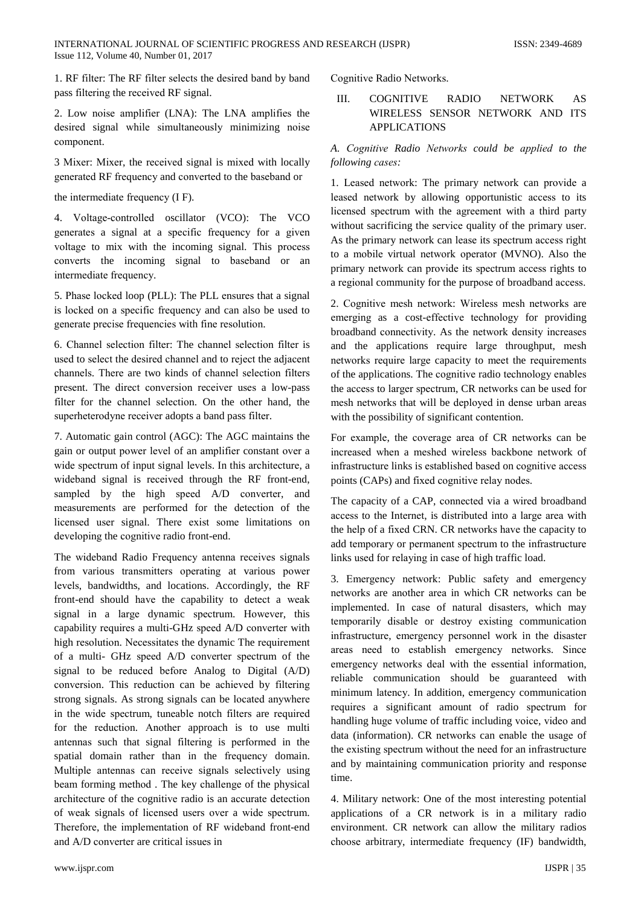1. RF filter: The RF filter selects the desired band by band pass filtering the received RF signal.

2. Low noise amplifier (LNA): The LNA amplifies the desired signal while simultaneously minimizing noise component.

3 Mixer: Mixer, the received signal is mixed with locally generated RF frequency and converted to the baseband or

the intermediate frequency (I F).

4. Voltage-controlled oscillator (VCO): The VCO generates a signal at a specific frequency for a given voltage to mix with the incoming signal. This process converts the incoming signal to baseband or an intermediate frequency.

5. Phase locked loop (PLL): The PLL ensures that a signal is locked on a specific frequency and can also be used to generate precise frequencies with fine resolution.

6. Channel selection filter: The channel selection filter is used to select the desired channel and to reject the adjacent channels. There are two kinds of channel selection filters present. The direct conversion receiver uses a low-pass filter for the channel selection. On the other hand, the superheterodyne receiver adopts a band pass filter.

7. Automatic gain control (AGC): The AGC maintains the gain or output power level of an amplifier constant over a wide spectrum of input signal levels. In this architecture, a wideband signal is received through the RF front-end, sampled by the high speed A/D converter, and measurements are performed for the detection of the licensed user signal. There exist some limitations on developing the cognitive radio front-end.

The wideband Radio Frequency antenna receives signals from various transmitters operating at various power levels, bandwidths, and locations. Accordingly, the RF front-end should have the capability to detect a weak signal in a large dynamic spectrum. However, this capability requires a multi-GHz speed A/D converter with high resolution. Necessitates the dynamic The requirement of a multi- GHz speed A/D converter spectrum of the signal to be reduced before Analog to Digital (A/D) conversion. This reduction can be achieved by filtering strong signals. As strong signals can be located anywhere in the wide spectrum, tuneable notch filters are required for the reduction. Another approach is to use multi antennas such that signal filtering is performed in the spatial domain rather than in the frequency domain. Multiple antennas can receive signals selectively using beam forming method. The key challenge of the physical architecture of the cognitive radio is an accurate detection of weak signals of licensed users over a wide spectrum. Therefore, the implementation of RF wideband front-end and A/D converter are critical issues in

Cognitive Radio Networks.

#### III. **NETWORK COGNITIVE RADIO** AS WIRELESS SENSOR NETWORK AND ITS **APPLICATIONS**

## A. Cognitive Radio Networks could be applied to the following cases:

1. Leased network: The primary network can provide a leased network by allowing opportunistic access to its licensed spectrum with the agreement with a third party without sacrificing the service quality of the primary user. As the primary network can lease its spectrum access right to a mobile virtual network operator (MVNO). Also the primary network can provide its spectrum access rights to a regional community for the purpose of broadband access.

2. Cognitive mesh network: Wireless mesh networks are emerging as a cost-effective technology for providing broadband connectivity. As the network density increases and the applications require large throughput, mesh networks require large capacity to meet the requirements of the applications. The cognitive radio technology enables the access to larger spectrum, CR networks can be used for mesh networks that will be deployed in dense urban areas with the possibility of significant contention.

For example, the coverage area of CR networks can be increased when a meshed wireless backbone network of infrastructure links is established based on cognitive access points (CAPs) and fixed cognitive relay nodes.

The capacity of a CAP, connected via a wired broadband access to the Internet, is distributed into a large area with the help of a fixed CRN. CR networks have the capacity to add temporary or permanent spectrum to the infrastructure links used for relaying in case of high traffic load.

3. Emergency network: Public safety and emergency networks are another area in which CR networks can be implemented. In case of natural disasters, which may temporarily disable or destroy existing communication infrastructure, emergency personnel work in the disaster areas need to establish emergency networks. Since emergency networks deal with the essential information, reliable communication should be guaranteed with minimum latency. In addition, emergency communication requires a significant amount of radio spectrum for handling huge volume of traffic including voice, video and data (information). CR networks can enable the usage of the existing spectrum without the need for an infrastructure and by maintaining communication priority and response time.

4. Military network: One of the most interesting potential applications of a CR network is in a military radio environment. CR network can allow the military radios choose arbitrary, intermediate frequency (IF) bandwidth,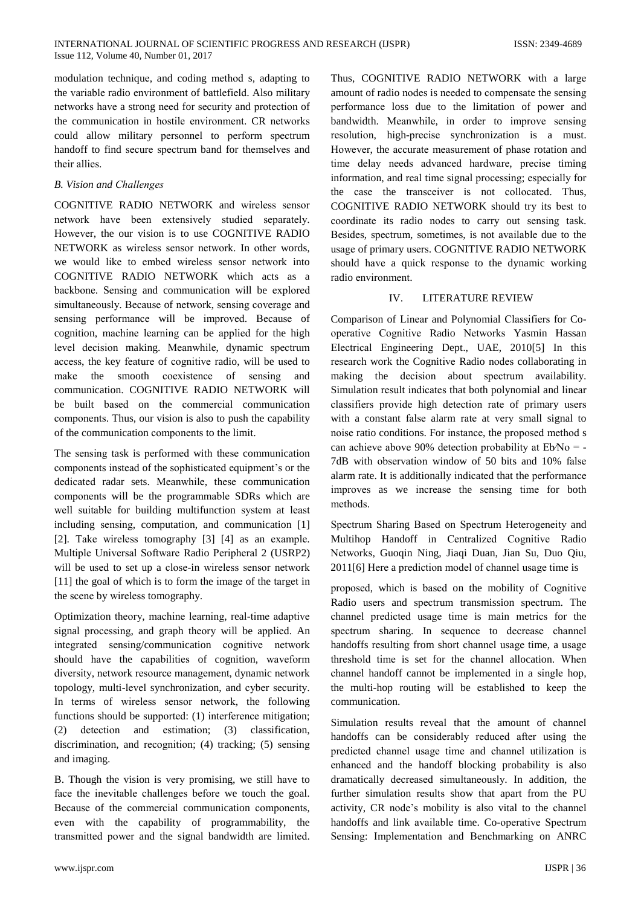modulation technique, and coding method s, adapting to the variable radio environment of battlefield. Also military networks have a strong need for security and protection of the communication in hostile environment. CR networks could allow military personnel to perform spectrum handoff to find secure spectrum band for themselves and their allies.

## **B.** Vision and Challenges

COGNITIVE RADIO NETWORK and wireless sensor network have been extensively studied separately. However, the our vision is to use COGNITIVE RADIO NETWORK as wireless sensor network. In other words, we would like to embed wireless sensor network into COGNITIVE RADIO NETWORK which acts as a backbone. Sensing and communication will be explored simultaneously. Because of network, sensing coverage and sensing performance will be improved. Because of cognition, machine learning can be applied for the high level decision making. Meanwhile, dynamic spectrum access, the key feature of cognitive radio, will be used to the smooth coexistence of sensing make and communication. COGNITIVE RADIO NETWORK will be built based on the commercial communication components. Thus, our vision is also to push the capability of the communication components to the limit.

The sensing task is performed with these communication components instead of the sophisticated equipment's or the dedicated radar sets. Meanwhile, these communication components will be the programmable SDRs which are well suitable for building multifunction system at least including sensing, computation, and communication [1] [2]. Take wireless tomography [3] [4] as an example. Multiple Universal Software Radio Peripheral 2 (USRP2) will be used to set up a close-in wireless sensor network [11] the goal of which is to form the image of the target in the scene by wireless tomography.

Optimization theory, machine learning, real-time adaptive signal processing, and graph theory will be applied. An integrated sensing/communication cognitive network should have the capabilities of cognition, waveform diversity, network resource management, dynamic network topology, multi-level synchronization, and cyber security. In terms of wireless sensor network, the following functions should be supported: (1) interference mitigation; detection and  $(2)$ estimation; (3) classification, discrimination, and recognition; (4) tracking; (5) sensing and imaging.

B. Though the vision is very promising, we still have to face the inevitable challenges before we touch the goal. Because of the commercial communication components, even with the capability of programmability, the transmitted power and the signal bandwidth are limited. Thus. COGNITIVE RADIO NETWORK with a large amount of radio nodes is needed to compensate the sensing performance loss due to the limitation of power and bandwidth. Meanwhile, in order to improve sensing resolution, high-precise synchronization is a must. However, the accurate measurement of phase rotation and time delay needs advanced hardware, precise timing information, and real time signal processing; especially for the case the transceiver is not collocated. Thus, COGNITIVE RADIO NETWORK should try its best to coordinate its radio nodes to carry out sensing task. Besides, spectrum, sometimes, is not available due to the usage of primary users. COGNITIVE RADIO NETWORK should have a quick response to the dynamic working radio environment.

## IV. LITERATURE REVIEW

Comparison of Linear and Polynomial Classifiers for Cooperative Cognitive Radio Networks Yasmin Hassan Electrical Engineering Dept., UAE, 2010[5] In this research work the Cognitive Radio nodes collaborating in making the decision about spectrum availability. Simulation result indicates that both polynomial and linear classifiers provide high detection rate of primary users with a constant false alarm rate at very small signal to noise ratio conditions. For instance, the proposed method s can achieve above 90% detection probability at  $EbNo = -$ 7dB with observation window of 50 bits and 10% false alarm rate. It is additionally indicated that the performance improves as we increase the sensing time for both methods.

Spectrum Sharing Based on Spectrum Heterogeneity and Multihop Handoff in Centralized Cognitive Radio Networks, Guoqin Ning, Jiaqi Duan, Jian Su, Duo Qiu, 2011[6] Here a prediction model of channel usage time is

proposed, which is based on the mobility of Cognitive Radio users and spectrum transmission spectrum. The channel predicted usage time is main metrics for the spectrum sharing. In sequence to decrease channel handoffs resulting from short channel usage time, a usage threshold time is set for the channel allocation. When channel handoff cannot be implemented in a single hop, the multi-hop routing will be established to keep the communication.

Simulation results reveal that the amount of channel handoffs can be considerably reduced after using the predicted channel usage time and channel utilization is enhanced and the handoff blocking probability is also dramatically decreased simultaneously. In addition, the further simulation results show that apart from the PU activity, CR node's mobility is also vital to the channel handoffs and link available time. Co-operative Spectrum Sensing: Implementation and Benchmarking on ANRC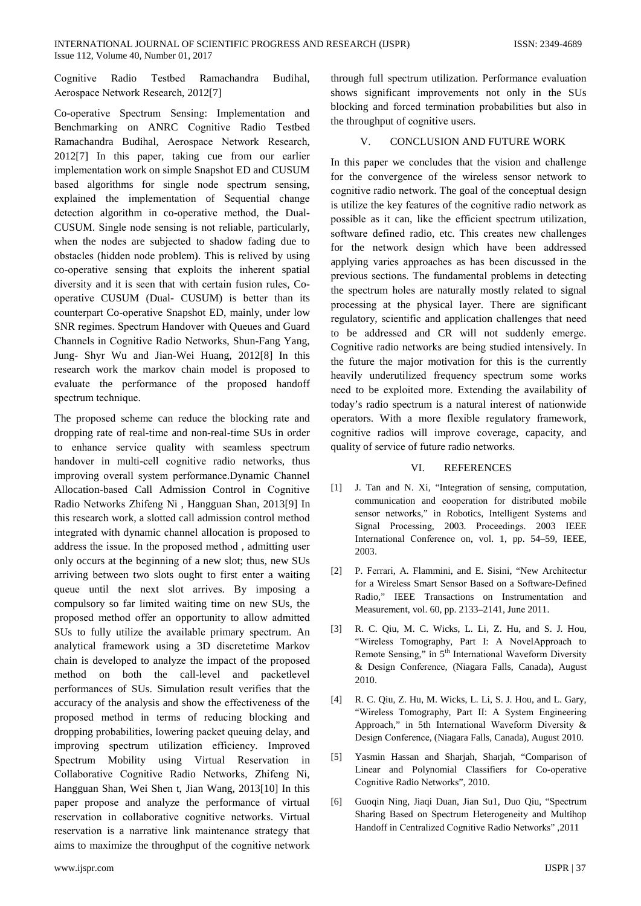Cognitive Radio Testbed Ramachandra Budihal. Aerospace Network Research, 2012[7]

Co-operative Spectrum Sensing: Implementation and Benchmarking on ANRC Cognitive Radio Testbed Ramachandra Budihal, Aerospace Network Research, 2012[7] In this paper, taking cue from our earlier implementation work on simple Snapshot ED and CUSUM based algorithms for single node spectrum sensing, explained the implementation of Sequential change detection algorithm in co-operative method, the Dual-CUSUM. Single node sensing is not reliable, particularly, when the nodes are subjected to shadow fading due to obstacles (hidden node problem). This is relived by using co-operative sensing that exploits the inherent spatial diversity and it is seen that with certain fusion rules, Cooperative CUSUM (Dual- CUSUM) is better than its counterpart Co-operative Snapshot ED, mainly, under low SNR regimes. Spectrum Handover with Oueues and Guard Channels in Cognitive Radio Networks, Shun-Fang Yang, Jung- Shyr Wu and Jian-Wei Huang, 2012[8] In this research work the markov chain model is proposed to evaluate the performance of the proposed handoff spectrum technique.

The proposed scheme can reduce the blocking rate and dropping rate of real-time and non-real-time SUs in order to enhance service quality with seamless spectrum handover in multi-cell cognitive radio networks, thus improving overall system performance.Dynamic Channel Allocation-based Call Admission Control in Cognitive Radio Networks Zhifeng Ni, Hangguan Shan, 2013[9] In this research work, a slotted call admission control method integrated with dynamic channel allocation is proposed to address the issue. In the proposed method, admitting user only occurs at the beginning of a new slot; thus, new SUs arriving between two slots ought to first enter a waiting queue until the next slot arrives. By imposing a compulsory so far limited waiting time on new SUs, the proposed method offer an opportunity to allow admitted SUs to fully utilize the available primary spectrum. An analytical framework using a 3D discretetime Markov chain is developed to analyze the impact of the proposed method on both the call-level and packetlevel performances of SUs. Simulation result verifies that the accuracy of the analysis and show the effectiveness of the proposed method in terms of reducing blocking and dropping probabilities, lowering packet queuing delay, and improving spectrum utilization efficiency. Improved Spectrum Mobility using Virtual Reservation in Collaborative Cognitive Radio Networks, Zhifeng Ni, Hangguan Shan, Wei Shen t, Jian Wang, 2013[10] In this paper propose and analyze the performance of virtual reservation in collaborative cognitive networks. Virtual reservation is a narrative link maintenance strategy that aims to maximize the throughput of the cognitive network

through full spectrum utilization. Performance evaluation shows significant improvements not only in the SUs blocking and forced termination probabilities but also in the throughput of cognitive users.

### CONCLUSION AND FUTURE WORK  $V_{\cdot}$

In this paper we concludes that the vision and challenge for the convergence of the wireless sensor network to cognitive radio network. The goal of the conceptual design is utilize the key features of the cognitive radio network as possible as it can, like the efficient spectrum utilization, software defined radio, etc. This creates new challenges for the network design which have been addressed applying varies approaches as has been discussed in the previous sections. The fundamental problems in detecting the spectrum holes are naturally mostly related to signal processing at the physical layer. There are significant regulatory, scientific and application challenges that need to be addressed and CR will not suddenly emerge. Cognitive radio networks are being studied intensively. In the future the major motivation for this is the currently heavily underutilized frequency spectrum some works need to be exploited more. Extending the availability of today's radio spectrum is a natural interest of nationwide operators. With a more flexible regulatory framework, cognitive radios will improve coverage, capacity, and quality of service of future radio networks.

### VI. **REFERENCES**

- J. Tan and N. Xi, "Integration of sensing, computation,  $[1]$ communication and cooperation for distributed mobile sensor networks," in Robotics, Intelligent Systems and Signal Processing, 2003. Proceedings. 2003 IEEE International Conference on, vol. 1, pp. 54-59, IEEE, 2003
- [2] P. Ferrari, A. Flammini, and E. Sisini, "New Architectur for a Wireless Smart Sensor Based on a Software-Defined Radio," IEEE Transactions on Instrumentation and Measurement, vol. 60, pp. 2133-2141, June 2011.
- $\lceil 3 \rceil$ R. C. Qiu, M. C. Wicks, L. Li, Z. Hu, and S. J. Hou, "Wireless Tomography, Part I: A NovelApproach to Remote Sensing," in 5<sup>th</sup> International Waveform Diversity & Design Conference, (Niagara Falls, Canada), August 2010.
- R. C. Qiu, Z. Hu, M. Wicks, L. Li, S. J. Hou, and L. Gary,  $[4]$ "Wireless Tomography, Part II: A System Engineering Approach," in 5th International Waveform Diversity & Design Conference, (Niagara Falls, Canada), August 2010.
- $\lceil 5 \rceil$ Yasmin Hassan and Sharjah, Sharjah, "Comparison of Linear and Polynomial Classifiers for Co-operative Cognitive Radio Networks", 2010.
- Guoqin Ning, Jiaqi Duan, Jian Su1, Duo Qiu, "Spectrum [6] Sharing Based on Spectrum Heterogeneity and Multihop Handoff in Centralized Cognitive Radio Networks", 2011